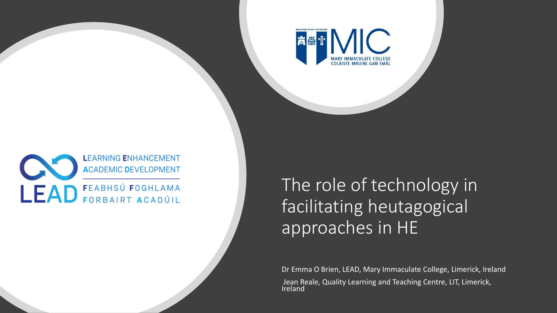

### **LEARNING ENHANCEMENT ACADEMIC DEVELOPMENT** LEAD FEABHSÚ FOGHLAMA

The role of technology in facilitating heutagogical approaches in HE

Dr Emma O Brien, LEAD, Mary Immaculate College, Limerick, Ireland Jean Reale, Quality Learning and Teaching Centre, LIT, Limerick, Ireland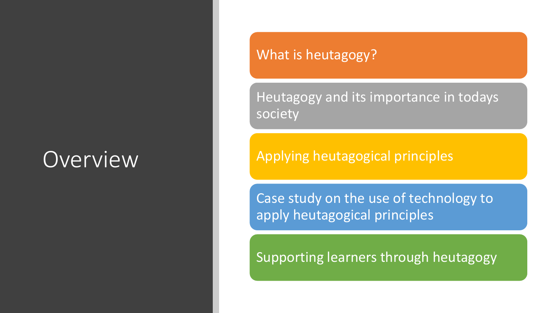## **Overview**

### What is heutagogy?

Heutagogy and its importance in todays society

Applying heutagogical principles

Case study on the use of technology to apply heutagogical principles

Supporting learners through heutagogy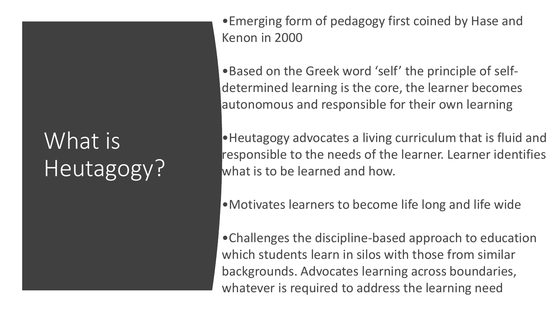# What is Heutagogy?

•Emerging form of pedagogy first coined by Hase and Kenon in 2000

•Based on the Greek word 'self' the principle of selfdetermined learning is the core, the learner becomes autonomous and responsible for their own learning

•Heutagogy advocates a living curriculum that is fluid and responsible to the needs of the learner. Learner identifies what is to be learned and how.

- •Motivates learners to become life long and life wide
- •Challenges the discipline-based approach to education which students learn in silos with those from similar backgrounds. Advocates learning across boundaries, whatever is required to address the learning need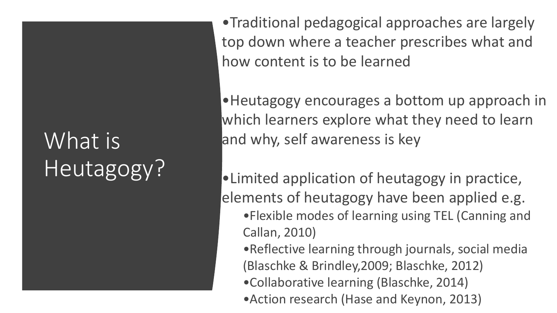# What is Heutagogy?

•Traditional pedagogical approaches are largely top down where a teacher prescribes what and how content is to be learned

•Heutagogy encourages a bottom up approach in which learners explore what they need to learn and why, self awareness is key

•Limited application of heutagogy in practice, elements of heutagogy have been applied e.g. •Flexible modes of learning using TEL (Canning and Callan, 2010) •Reflective learning through journals, social media

(Blaschke & Brindley,2009; Blaschke, 2012)

•Collaborative learning (Blaschke, 2014)

•Action research (Hase and Keynon, 2013)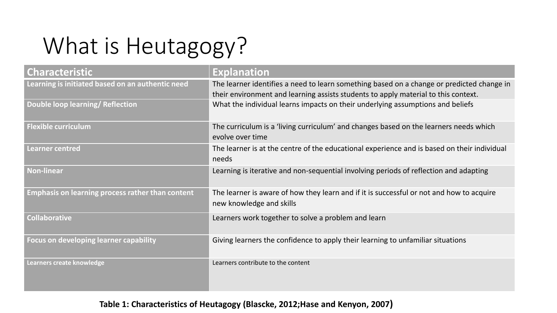# What is Heutagogy?

| <b>Characteristic</b>                                   | <b>Explanation</b>                                                                                                                                                              |
|---------------------------------------------------------|---------------------------------------------------------------------------------------------------------------------------------------------------------------------------------|
| Learning is initiated based on an authentic need        | The learner identifies a need to learn something based on a change or predicted change in<br>their environment and learning assists students to apply material to this context. |
| Double loop learning/ Reflection                        | What the individual learns impacts on their underlying assumptions and beliefs                                                                                                  |
| <b>Flexible curriculum</b>                              | The curriculum is a 'living curriculum' and changes based on the learners needs which<br>evolve over time                                                                       |
| <b>Learner centred</b>                                  | The learner is at the centre of the educational experience and is based on their individual<br>needs                                                                            |
| <b>Non-linear</b>                                       | Learning is iterative and non-sequential involving periods of reflection and adapting                                                                                           |
| <b>Emphasis on learning process rather than content</b> | The learner is aware of how they learn and if it is successful or not and how to acquire<br>new knowledge and skills                                                            |
| <b>Collaborative</b>                                    | Learners work together to solve a problem and learn                                                                                                                             |
| <b>Focus on developing learner capability</b>           | Giving learners the confidence to apply their learning to unfamiliar situations                                                                                                 |
| Learners create knowledge                               | Learners contribute to the content                                                                                                                                              |

#### **Table 1: Characteristics of Heutagogy (Blascke, 2012;Hase and Kenyon, 2007)**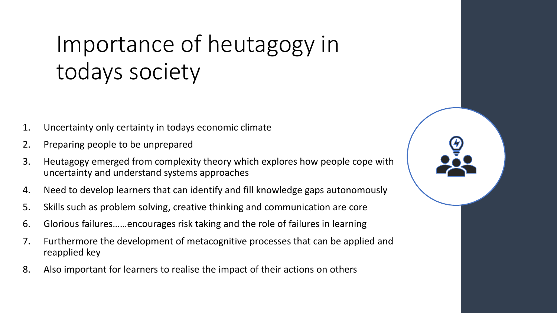## Importance of heutagogy in todays society

- 1. Uncertainty only certainty in todays economic climate
- 2. Preparing people to be unprepared
- 3. Heutagogy emerged from complexity theory which explores how people cope with uncertainty and understand systems approaches
- 4. Need to develop learners that can identify and fill knowledge gaps autonomously
- 5. Skills such as problem solving, creative thinking and communication are core
- 6. Glorious failures……encourages risk taking and the role of failures in learning
- 7. Furthermore the development of metacognitive processes that can be applied and reapplied key
- 8. Also important for learners to realise the impact of their actions on others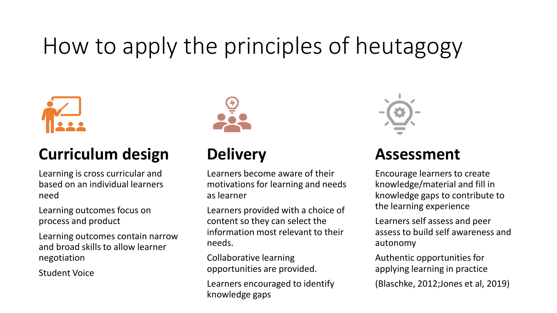## How to apply the principles of heutagogy



### **Curriculum design**

Learning is cross curricular and based on an individual learners need

Learning outcomes focus on process and product

Learning outcomes contain narrow and broad skills to allow learner negotiation

Student Voice



## **Delivery**

Learners become aware of their motivations for learning and needs as learner

Learners provided with a choice of content so they can select the information most relevant to their needs.

Collaborative learning opportunities are provided.

Learners encouraged to identify knowledge gaps



### **Assessment**

Encourage learners to create knowledge/material and fill in knowledge gaps to contribute to the learning experience

Learners self assess and peer assess to build self awareness and autonomy

Authentic opportunities for applying learning in practice

(Blaschke, 2012;Jones et al, 2019)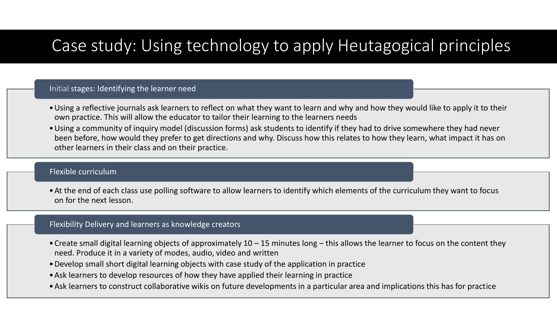## Case study: Using technology to apply Heutagogical principles

#### Initial stages: Identifying the learner need

- •Using a reflective journals ask learners to reflect on what they want to learn and why and how they would like to apply it to their own practice. This will allow the educator to tailor their learning to the learners needs
- •Using a community of inquiry model (discussion forms) ask students to identify if they had to drive somewhere they had never been before, how would they prefer to get directions and why. Discuss how this relates to how they learn, what impact it has on other learners in their class and on their practice.

#### Flexible curriculum

•At the end of each class use polling software to allow learners to identify which elements of the curriculum they want to focus on for the next lesson.

#### Flexibility Delivery and learners as knowledge creators

- •Create small digital learning objects of approximately 10 15 minutes long this allows the learner to focus on the content they need. Produce it in a variety of modes, audio, video and written
- •Develop small short digital learning objects with case study of the application in practice
- •Ask learners to develop resources of how they have applied their learning in practice
- •Ask learners to construct collaborative wikis on future developments in a particular area and implications this has for practice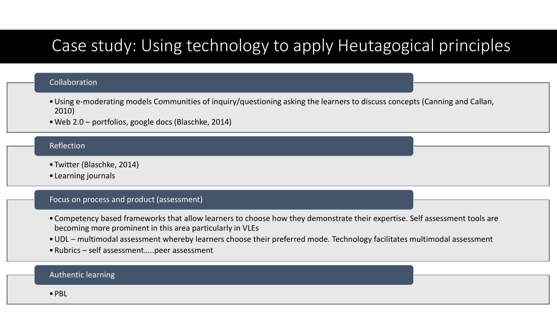## Case study: Using technology to apply Heutagogical principles

#### Collaboration

- •Using e-moderating models Communities of inquiry/questioning asking the learners to discuss concepts (Canning and Callan, 2010)
- •Web 2.0 portfolios, google docs (Blaschke, 2014)

#### Reflection

- •Twitter (Blaschke, 2014)
- •Learning journals

#### Focus on process and product (assessment)

- •Competency based frameworks that allow learners to choose how they demonstrate their expertise. Self assessment tools are becoming more prominent in this area particularly in VLEs
- •UDL multimodal assessment whereby learners choose their preferred mode. Technology facilitates multimodal assessment
- •Rubrics self assessment…..peer assessment

#### Authentic learning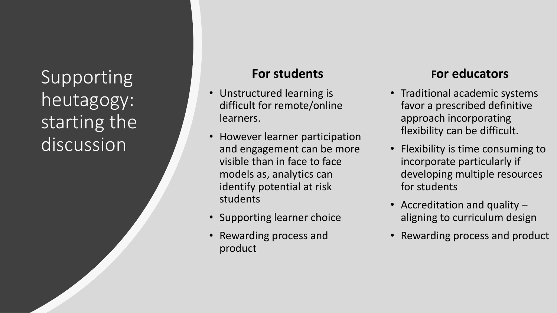Supporting heutagogy: starting the discussion

### **For students**

- Unstructured learning is difficult for remote/online learners.
- However learner participation and engagement can be more visible than in face to face models as, analytics can identify potential at risk students
- Supporting learner choice
- Rewarding process and product

### **For educators**

- Traditional academic systems favor a prescribed definitive approach incorporating flexibility can be difficult.
- Flexibility is time consuming to incorporate particularly if developing multiple resources for students
- Accreditation and quality aligning to curriculum design
- Rewarding process and product